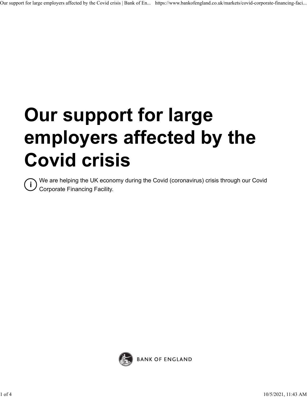# **Our support for large employers affected by the Covid crisis**

**i** We are helping the UK economy during the Covid (coronavirus) crisis through our Covid<br>Corporate Einancing Facility Corporate Financing Facility.

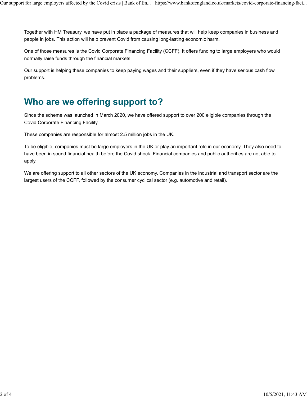Together with HM Treasury, we have put in place a package of measures that will help keep companies in business and people in jobs. This action will help prevent Covid from causing long-lasting economic harm.

One of those measures is the Covid Corporate Financing Facility (CCFF). It offers funding to large employers who would normally raise funds through the financial markets.

Our support is helping these companies to keep paying wages and their suppliers, even if they have serious cash flow problems.

## **Who are we offering support to?**

Since the scheme was launched in March 2020, we have offered support to over 200 eligible companies through the Covid Corporate Financing Facility.

These companies are responsible for almost 2.5 million jobs in the UK.

To be eligible, companies must be large employers in the UK or play an important role in our economy. They also need to have been in sound financial health before the Covid shock. Financial companies and public authorities are not able to apply.

We are offering support to all other sectors of the UK economy. Companies in the industrial and transport sector are the largest users of the CCFF, followed by the consumer cyclical sector (e.g. automotive and retail).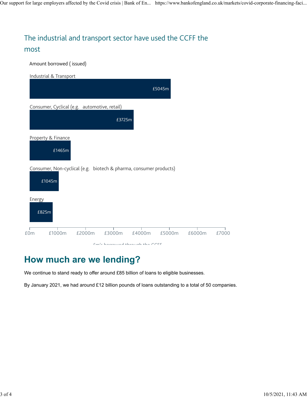### The industrial and transport sector have used the CCFF the most

Amount borrowed ( issued)

| Industrial & Transport                                                      |
|-----------------------------------------------------------------------------|
| £5045m                                                                      |
| Consumer, Cyclical (e.g. automotive, retail)                                |
| £3725m                                                                      |
| Property & Finance<br>£1465m                                                |
| Consumer, Non-cyclical (e.g. biotech & pharma, consumer products)<br>£1045m |
| Energy<br>£825m                                                             |
| £1000m<br>£2000m<br>£3000m<br>£4000m<br>£5000m<br>£6000m<br>£0m<br>£7000    |
| Casta baseannad theanach tha CCEE                                           |

### **How much are we lending?**

We continue to stand ready to offer around £85 billion of loans to eligible businesses.

By January 2021, we had around £12 billion pounds of loans outstanding to a total of 50 companies.